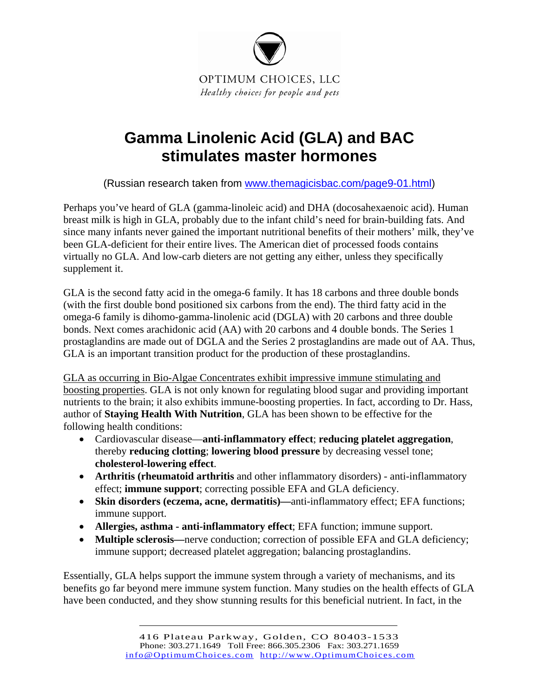

## **Gamma Linolenic Acid (GLA) and BAC stimulates master hormones**

(Russian research taken from [www.themagicisbac.com/page9-01.html](http://www.themagicisbac.com/page9-01.html))

Perhaps you've heard of GLA (gamma-linoleic acid) and DHA (docosahexaenoic acid). Human breast milk is high in GLA, probably due to the infant child's need for brain-building fats. And since many infants never gained the important nutritional benefits of their mothers' milk, they've been GLA-deficient for their entire lives. The American diet of processed foods contains virtually no GLA. And low-carb dieters are not getting any either, unless they specifically supplement it.

GLA is the second fatty acid in the omega-6 family. It has 18 carbons and three double bonds (with the first double bond positioned six carbons from the end). The third fatty acid in the omega-6 family is dihomo-gamma-linolenic acid (DGLA) with 20 carbons and three double bonds. Next comes arachidonic acid (AA) with 20 carbons and 4 double bonds. The Series 1 prostaglandins are made out of DGLA and the Series 2 prostaglandins are made out of AA. Thus, GLA is an important transition product for the production of these prostaglandins.

GLA as occurring in Bio-Algae Concentrates exhibit impressive immune stimulating and boosting properties. GLA is not only known for regulating blood sugar and providing important nutrients to the brain; it also exhibits immune-boosting properties. In fact, according to Dr. Hass, author of **Staying Health With Nutrition**, GLA has been shown to be effective for the following health conditions:

- Cardiovascular disease—**anti-inflammatory effect**; **reducing platelet aggregation**, thereby **reducing clotting**; **lowering blood pressure** by decreasing vessel tone; **cholesterol-lowering effect**.
- **Arthritis (rheumatoid arthritis** and other inflammatory disorders) anti-inflammatory effect; **immune support**; correcting possible EFA and GLA deficiency.
- **Skin disorders (eczema, acne, dermatitis)—**anti-inflammatory effect; EFA functions; immune support.
- **Allergies, asthma anti-inflammatory effect**; EFA function; immune support.
- **Multiple sclerosis—**nerve conduction; correction of possible EFA and GLA deficiency; immune support; decreased platelet aggregation; balancing prostaglandins.

Essentially, GLA helps support the immune system through a variety of mechanisms, and its benefits go far beyond mere immune system function. Many studies on the health effects of GLA have been conducted, and they show stunning results for this beneficial nutrient. In fact, in the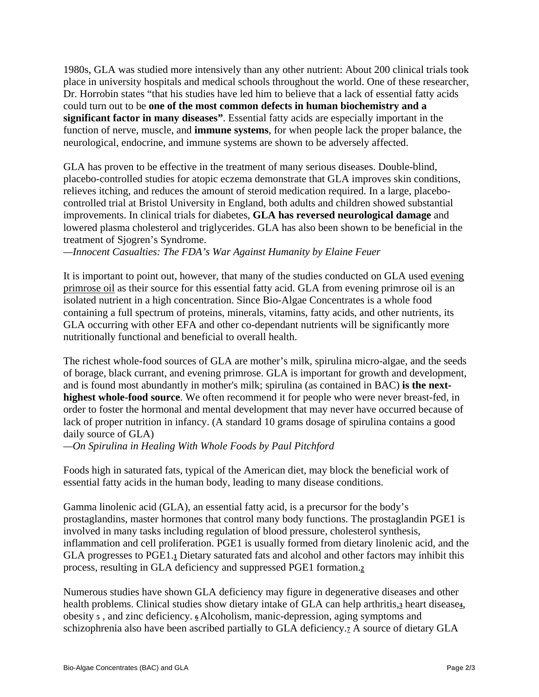1980s, GLA was studied more intensively than any other nutrient: About 200 clinical trials took place in university hospitals and medical schools throughout the world. One of these researcher, Dr. Horrobin states "that his studies have led him to believe that a lack of essential fatty acids could turn out to be **one of the most common defects in human biochemistry and a significant factor in many diseases"**. Essential fatty acids are especially important in the function of nerve, muscle, and **immune systems**, for when people lack the proper balance, the neurological, endocrine, and immune systems are shown to be adversely affected.

GLA has proven to be effective in the treatment of many serious diseases. Double-blind, placebo-controlled studies for atopic eczema demonstrate that GLA improves skin conditions, relieves itching, and reduces the amount of steroid medication required. In a large, placebocontrolled trial at Bristol University in England, both adults and children showed substantial improvements. In clinical trials for diabetes, **GLA has reversed neurological damage** and lowered plasma cholesterol and triglycerides. GLA has also been shown to be beneficial in the treatment of Sjogren's Syndrome.

*—Innocent Casualties: The FDA's War Against Humanity by Elaine Feuer* 

It is important to point out, however, that many of the studies conducted on GLA used evening primrose oil as their source for this essential fatty acid. GLA from evening primrose oil is an isolated nutrient in a high concentration. Since Bio-Algae Concentrates is a whole food containing a full spectrum of proteins, minerals, vitamins, fatty acids, and other nutrients, its GLA occurring with other EFA and other co-dependant nutrients will be significantly more nutritionally functional and beneficial to overall health.

The richest whole-food sources of GLA are mother's milk, spirulina micro-algae, and the seeds of borage, black currant, and evening primrose. GLA is important for growth and development, and is found most abundantly in mother's milk; spirulina (as contained in BAC) **is the nexthighest whole-food source**. We often recommend it for people who were never breast-fed, in order to foster the hormonal and mental development that may never have occurred because of lack of proper nutrition in infancy. (A standard 10 grams dosage of spirulina contains a good daily source of GLA)

*—On Spirulina in Healing With Whole Foods by Paul Pitchford*

Foods high in saturated fats, typical of the American diet, may block the beneficial work of essential fatty acids in the human body, leading to many disease conditions.

Gamma linolenic acid (GLA), an essential fatty acid, is a precursor for the body's prostaglandins, master hormones that control many body functions. The prostaglandin PGE1 is involved in many tasks including regulation of blood pressure, cholesterol synthesis, inflammation and cell proliferation. PGE1 is usually formed from dietary linolenic acid, and the GLA progresses to PGE1.**1** Dietary saturated fats and alcohol and other factors may inhibit this process, resulting in GLA deficiency and suppressed PGE1 formation.**<sup>2</sup>**

Numerous studies have shown GLA deficiency may figure in degenerative diseases and other health problems. Clinical studies show dietary intake of GLA can help arthritis,**3** heart disease**4**, obesity **5** , and zinc deficiency. **<sup>6</sup>** Alcoholism, manic-depression, aging symptoms and schizophrenia also have been ascribed partially to GLA deficiency.**7** A source of dietary GLA